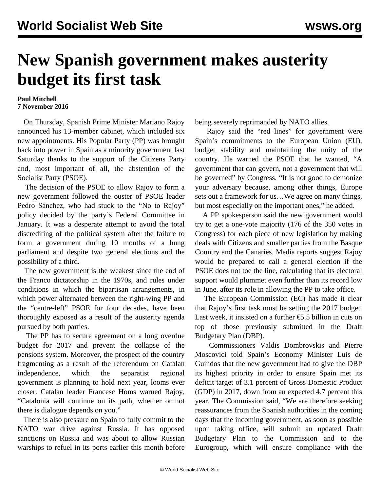## **New Spanish government makes austerity budget its first task**

## **Paul Mitchell 7 November 2016**

 On Thursday, Spanish Prime Minister Mariano Rajoy announced his 13-member cabinet, which included six new appointments. His Popular Party (PP) was brought back into power in Spain as a minority government last Saturday thanks to the support of the Citizens Party and, most important of all, the abstention of the Socialist Party (PSOE).

 The decision of the PSOE to allow Rajoy to form a new government followed the ouster of PSOE leader Pedro Sánchez, who had stuck to the "No to Rajoy" policy decided by the party's Federal Committee in January. It was a desperate attempt to avoid the total discrediting of the political system after the failure to form a government during 10 months of a hung parliament and despite two general elections and the possibility of a third.

 The new government is the weakest since the end of the Franco dictatorship in the 1970s, and rules under conditions in which the bipartisan arrangements, in which power alternated between the right-wing PP and the "centre-left" PSOE for four decades, have been thoroughly exposed as a result of the austerity agenda pursued by both parties.

 The PP has to secure agreement on a long overdue budget for 2017 and prevent the collapse of the pensions system. Moreover, the prospect of the country fragmenting as a result of the referendum on Catalan independence, which the separatist regional government is planning to hold next year, looms ever closer. Catalan leader Francesc Homs warned Rajoy, "Catalonia will continue on its path, whether or not there is dialogue depends on you."

 There is also pressure on Spain to fully commit to the NATO war drive against Russia. It has opposed sanctions on Russia and was about to allow Russian warships to refuel in its ports earlier this month before being severely reprimanded by NATO allies.

 Rajoy said the "red lines" for government were Spain's commitments to the European Union (EU), budget stability and maintaining the unity of the country. He warned the PSOE that he wanted, "A government that can govern, not a government that will be governed" by Congress. "It is not good to demonize your adversary because, among other things, Europe sets out a framework for us…We agree on many things, but most especially on the important ones," he added.

 A PP spokesperson said the new government would try to get a one-vote majority (176 of the 350 votes in Congress) for each piece of new legislation by making deals with Citizens and smaller parties from the Basque Country and the Canaries. Media reports suggest Rajoy would be prepared to call a general election if the PSOE does not toe the line, calculating that its electoral support would plummet even further than its record low in June, after its role in allowing the PP to take office.

 The European Commission (EC) has made it clear that Rajoy's first task must be setting the 2017 budget. Last week, it insisted on a further €5.5 billion in cuts on top of those previously submitted in the Draft Budgetary Plan (DBP).

 Commissioners Valdis Dombrovskis and Pierre Moscovici told Spain's Economy Minister Luis de Guindos that the new government had to give the DBP its highest priority in order to ensure Spain met its deficit target of 3.1 percent of Gross Domestic Product (GDP) in 2017, down from an expected 4.7 percent this year. The Commission said, "We are therefore seeking reassurances from the Spanish authorities in the coming days that the incoming government, as soon as possible upon taking office, will submit an updated Draft Budgetary Plan to the Commission and to the Eurogroup, which will ensure compliance with the